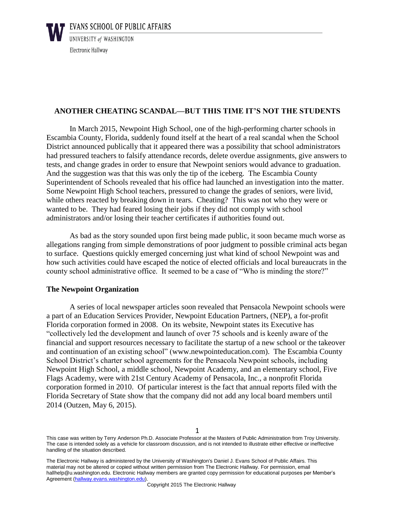

# **ANOTHER CHEATING SCANDAL—BUT THIS TIME IT'S NOT THE STUDENTS**

In March 2015, Newpoint High School, one of the high-performing charter schools in Escambia County, Florida, suddenly found itself at the heart of a real scandal when the School District announced publically that it appeared there was a possibility that school administrators had pressured teachers to falsify attendance records, delete overdue assignments, give answers to tests, and change grades in order to ensure that Newpoint seniors would advance to graduation. And the suggestion was that this was only the tip of the iceberg. The Escambia County Superintendent of Schools revealed that his office had launched an investigation into the matter. Some Newpoint High School teachers, pressured to change the grades of seniors, were livid, while others reacted by breaking down in tears. Cheating? This was not who they were or wanted to be. They had feared losing their jobs if they did not comply with school administrators and/or losing their teacher certificates if authorities found out.

As bad as the story sounded upon first being made public, it soon became much worse as allegations ranging from simple demonstrations of poor judgment to possible criminal acts began to surface. Questions quickly emerged concerning just what kind of school Newpoint was and how such activities could have escaped the notice of elected officials and local bureaucrats in the county school administrative office. It seemed to be a case of "Who is minding the store?"

## **The Newpoint Organization**

A series of local newspaper articles soon revealed that Pensacola Newpoint schools were a part of an Education Services Provider, Newpoint Education Partners, (NEP), a for-profit Florida corporation formed in 2008. On its website, Newpoint states its Executive has "collectively led the development and launch of over 75 schools and is keenly aware of the financial and support resources necessary to facilitate the startup of a new school or the takeover and continuation of an existing school" (www.newpointeducation.com). The Escambia County School District's charter school agreements for the Pensacola Newpoint schools, including Newpoint High School, a middle school, Newpoint Academy, and an elementary school, Five Flags Academy, were with 21st Century Academy of Pensacola, Inc., a nonprofit Florida corporation formed in 2010. Of particular interest is the fact that annual reports filed with the Florida Secretary of State show that the company did not add any local board members until 2014 (Outzen, May 6, 2015).

This case was written by Terry Anderson Ph.D. Associate Professor at the Masters of Public Administration from Troy University. The case is intended solely as a vehicle for classroom discussion, and is not intended to illustrate either effective or ineffective handling of the situation described.

The Electronic Hallway is administered by the University of Washington's Daniel J. Evans School of Public Affairs. This material may not be altered or copied without written permission from The Electronic Hallway. For permission, email hallhelp@u.washington.edu. Electronic Hallway members are granted copy permission for educational purposes per Member's Agreement (hallway.evans.washington.edu).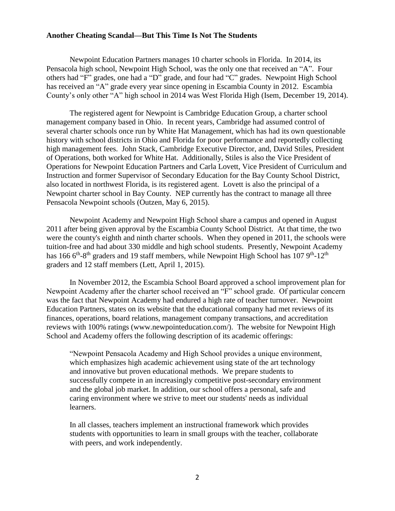Newpoint Education Partners manages 10 charter schools in Florida. In 2014, its Pensacola high school, Newpoint High School, was the only one that received an "A". Four others had "F" grades, one had a "D" grade, and four had "C" grades. Newpoint High School has received an "A" grade every year since opening in Escambia County in 2012. Escambia County's only other "A" high school in 2014 was West Florida High (Isem, December 19, 2014).

The registered agent for Newpoint is Cambridge Education Group, a charter school management company based in Ohio. In recent years, Cambridge had assumed control of several charter schools once run by White Hat Management, which has had its own questionable history with school districts in Ohio and Florida for poor performance and reportedly collecting high management fees. John Stack, Cambridge Executive Director, and, David Stiles, President of Operations, both worked for White Hat. Additionally, Stiles is also the Vice President of Operations for Newpoint Education Partners and Carla Lovett, Vice President of Curriculum and Instruction and former Supervisor of Secondary Education for the Bay County School District, also located in northwest Florida, is its registered agent. Lovett is also the principal of a Newpoint charter school in Bay County. NEP currently has the contract to manage all three Pensacola Newpoint schools (Outzen, May 6, 2015).

Newpoint Academy and Newpoint High School share a campus and opened in August 2011 after being given approval by the Escambia County School District. At that time, the two were the county's eighth and ninth charter schools. When they opened in 2011, the schools were tuition-free and had about 330 middle and high school students. Presently, Newpoint Academy has 166 6<sup>th</sup>-8<sup>th</sup> graders and 19 staff members, while Newpoint High School has 107 9<sup>th</sup>-12<sup>th</sup> graders and 12 staff members (Lett, April 1, 2015).

In November 2012, the Escambia School Board approved a school improvement plan for Newpoint Academy after the charter school received an "F" school grade. Of particular concern was the fact that Newpoint Academy had endured a high rate of teacher turnover. Newpoint Education Partners, states on its website that the educational company had met reviews of its finances, operations, board relations, management company transactions, and accreditation reviews with 100% ratings (www.newpointeducation.com/). The website for Newpoint High School and Academy offers the following description of its academic offerings:

"Newpoint Pensacola Academy and High School provides a unique environment, which emphasizes high academic achievement using state of the art technology and innovative but proven educational methods. We prepare students to successfully compete in an increasingly competitive post-secondary environment and the global job market. In addition, our school offers a personal, safe and caring environment where we strive to meet our students' needs as individual learners.

In all classes, teachers implement an instructional framework which provides students with opportunities to learn in small groups with the teacher, collaborate with peers, and work independently.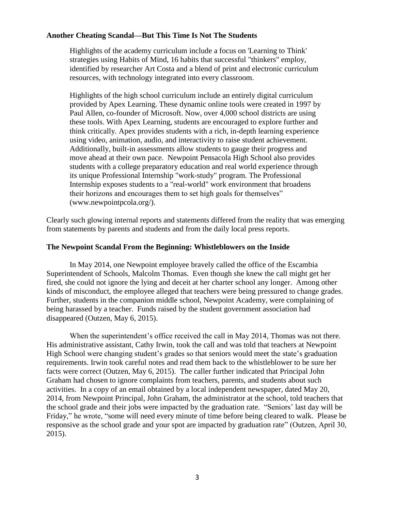Highlights of the academy curriculum include a focus on 'Learning to Think' strategies using Habits of Mind, 16 habits that successful "thinkers" employ, identified by researcher Art Costa and a blend of print and electronic curriculum resources, with technology integrated into every classroom.

Highlights of the high school curriculum include an entirely digital curriculum provided by Apex Learning. These dynamic online tools were created in 1997 by Paul Allen, co-founder of Microsoft. Now, over 4,000 school districts are using these tools. With Apex Learning, students are encouraged to explore further and think critically. Apex provides students with a rich, in-depth learning experience using video, animation, audio, and interactivity to raise student achievement. Additionally, built-in assessments allow students to gauge their progress and move ahead at their own pace. Newpoint Pensacola High School also provides students with a college preparatory education and real world experience through its unique Professional Internship "work-study" program. The Professional Internship exposes students to a "real-world" work environment that broadens their horizons and encourages them to set high goals for themselves" (www.newpointpcola.org/).

Clearly such glowing internal reports and statements differed from the reality that was emerging from statements by parents and students and from the daily local press reports.

## **The Newpoint Scandal From the Beginning: Whistleblowers on the Inside**

In May 2014, one Newpoint employee bravely called the office of the Escambia Superintendent of Schools, Malcolm Thomas. Even though she knew the call might get her fired, she could not ignore the lying and deceit at her charter school any longer. Among other kinds of misconduct, the employee alleged that teachers were being pressured to change grades. Further, students in the companion middle school, Newpoint Academy, were complaining of being harassed by a teacher. Funds raised by the student government association had disappeared (Outzen, May 6, 2015).

When the superintendent's office received the call in May 2014, Thomas was not there. His administrative assistant, Cathy Irwin, took the call and was told that teachers at Newpoint High School were changing student's grades so that seniors would meet the state's graduation requirements. Irwin took careful notes and read them back to the whistleblower to be sure her facts were correct (Outzen, May 6, 2015). The caller further indicated that Principal John Graham had chosen to ignore complaints from teachers, parents, and students about such activities. In a copy of an email obtained by a local independent newspaper, dated May 20, 2014, from Newpoint Principal, John Graham, the administrator at the school, told teachers that the school grade and their jobs were impacted by the graduation rate. "Seniors' last day will be Friday," he wrote, "some will need every minute of time before being cleared to walk. Please be responsive as the school grade and your spot are impacted by graduation rate" (Outzen, April 30, 2015).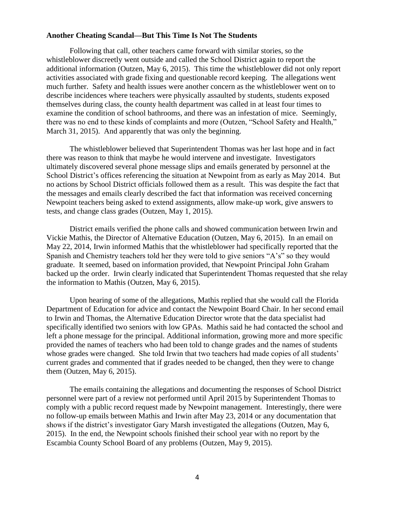Following that call, other teachers came forward with similar stories, so the whistleblower discreetly went outside and called the School District again to report the additional information (Outzen, May 6, 2015). This time the whistleblower did not only report activities associated with grade fixing and questionable record keeping. The allegations went much further. Safety and health issues were another concern as the whistleblower went on to describe incidences where teachers were physically assaulted by students, students exposed themselves during class, the county health department was called in at least four times to examine the condition of school bathrooms, and there was an infestation of mice. Seemingly, there was no end to these kinds of complaints and more (Outzen, "School Safety and Health," March 31, 2015). And apparently that was only the beginning.

The whistleblower believed that Superintendent Thomas was her last hope and in fact there was reason to think that maybe he would intervene and investigate. Investigators ultimately discovered several phone message slips and emails generated by personnel at the School District's offices referencing the situation at Newpoint from as early as May 2014. But no actions by School District officials followed them as a result. This was despite the fact that the messages and emails clearly described the fact that information was received concerning Newpoint teachers being asked to extend assignments, allow make-up work, give answers to tests, and change class grades (Outzen, May 1, 2015).

District emails verified the phone calls and showed communication between Irwin and Vickie Mathis, the Director of Alternative Education (Outzen, May 6, 2015). In an email on May 22, 2014, Irwin informed Mathis that the whistleblower had specifically reported that the Spanish and Chemistry teachers told her they were told to give seniors "A's" so they would graduate. It seemed, based on information provided, that Newpoint Principal John Graham backed up the order. Irwin clearly indicated that Superintendent Thomas requested that she relay the information to Mathis (Outzen, May 6, 2015).

Upon hearing of some of the allegations, Mathis replied that she would call the Florida Department of Education for advice and contact the Newpoint Board Chair. In her second email to Irwin and Thomas, the Alternative Education Director wrote that the data specialist had specifically identified two seniors with low GPAs. Mathis said he had contacted the school and left a phone message for the principal. Additional information, growing more and more specific provided the names of teachers who had been told to change grades and the names of students whose grades were changed. She told Irwin that two teachers had made copies of all students' current grades and commented that if grades needed to be changed, then they were to change them (Outzen, May 6, 2015).

The emails containing the allegations and documenting the responses of School District personnel were part of a review not performed until April 2015 by Superintendent Thomas to comply with a public record request made by Newpoint management. Interestingly, there were no follow-up emails between Mathis and Irwin after May 23, 2014 or any documentation that shows if the district's investigator Gary Marsh investigated the allegations (Outzen, May 6, 2015). In the end, the Newpoint schools finished their school year with no report by the Escambia County School Board of any problems (Outzen, May 9, 2015).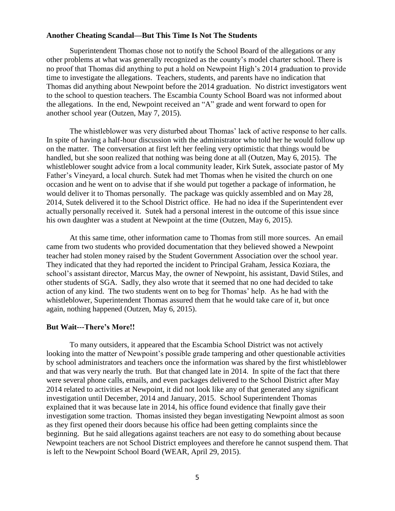Superintendent Thomas chose not to notify the School Board of the allegations or any other problems at what was generally recognized as the county's model charter school. There is no proof that Thomas did anything to put a hold on Newpoint High's 2014 graduation to provide time to investigate the allegations. Teachers, students, and parents have no indication that Thomas did anything about Newpoint before the 2014 graduation. No district investigators went to the school to question teachers. The Escambia County School Board was not informed about the allegations. In the end, Newpoint received an "A" grade and went forward to open for another school year (Outzen, May 7, 2015).

The whistleblower was very disturbed about Thomas' lack of active response to her calls. In spite of having a half-hour discussion with the administrator who told her he would follow up on the matter. The conversation at first left her feeling very optimistic that things would be handled, but she soon realized that nothing was being done at all (Outzen, May 6, 2015). The whistleblower sought advice from a local community leader, Kirk Sutek, associate pastor of My Father's Vineyard, a local church. Sutek had met Thomas when he visited the church on one occasion and he went on to advise that if she would put together a package of information, he would deliver it to Thomas personally. The package was quickly assembled and on May 28, 2014, Sutek delivered it to the School District office. He had no idea if the Superintendent ever actually personally received it. Sutek had a personal interest in the outcome of this issue since his own daughter was a student at Newpoint at the time (Outzen, May 6, 2015).

At this same time, other information came to Thomas from still more sources. An email came from two students who provided documentation that they believed showed a Newpoint teacher had stolen money raised by the Student Government Association over the school year. They indicated that they had reported the incident to Principal Graham, Jessica Koziara, the school's assistant director, Marcus May, the owner of Newpoint, his assistant, David Stiles, and other students of SGA. Sadly, they also wrote that it seemed that no one had decided to take action of any kind. The two students went on to beg for Thomas' help. As he had with the whistleblower, Superintendent Thomas assured them that he would take care of it, but once again, nothing happened (Outzen, May 6, 2015).

#### **But Wait---There's More!!**

To many outsiders, it appeared that the Escambia School District was not actively looking into the matter of Newpoint's possible grade tampering and other questionable activities by school administrators and teachers once the information was shared by the first whistleblower and that was very nearly the truth. But that changed late in 2014. In spite of the fact that there were several phone calls, emails, and even packages delivered to the School District after May 2014 related to activities at Newpoint, it did not look like any of that generated any significant investigation until December, 2014 and January, 2015. School Superintendent Thomas explained that it was because late in 2014, his office found evidence that finally gave their investigation some traction. Thomas insisted they began investigating Newpoint almost as soon as they first opened their doors because his office had been getting complaints since the beginning. But he said allegations against teachers are not easy to do something about because Newpoint teachers are not School District employees and therefore he cannot suspend them. That is left to the Newpoint School Board (WEAR, April 29, 2015).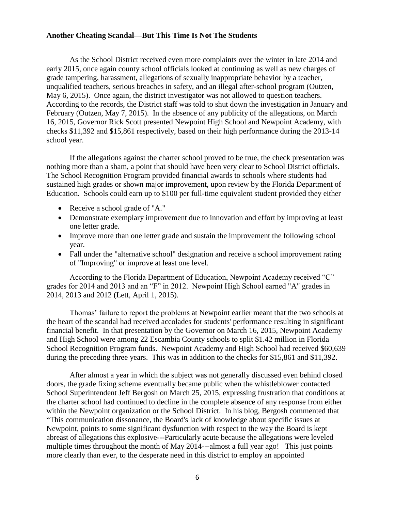As the School District received even more complaints over the winter in late 2014 and early 2015, once again county school officials looked at continuing as well as new charges of grade tampering, harassment, allegations of sexually inappropriate behavior by a teacher, unqualified teachers, serious breaches in safety, and an illegal after-school program (Outzen, May 6, 2015). Once again, the district investigator was not allowed to question teachers. According to the records, the District staff was told to shut down the investigation in January and February (Outzen, May 7, 2015). In the absence of any publicity of the allegations, on March 16, 2015, Governor Rick Scott presented Newpoint High School and Newpoint Academy, with checks \$11,392 and \$15,861 respectively, based on their high performance during the 2013-14 school year.

If the allegations against the charter school proved to be true, the check presentation was nothing more than a sham, a point that should have been very clear to School District officials. The School Recognition Program provided financial awards to schools where students had sustained high grades or shown major improvement, upon review by the Florida Department of Education. Schools could earn up to \$100 per full-time equivalent student provided they either

- Receive a school grade of "A."
- Demonstrate exemplary improvement due to innovation and effort by improving at least one letter grade.
- Improve more than one letter grade and sustain the improvement the following school year.
- Fall under the "alternative school" designation and receive a school improvement rating of "Improving" or improve at least one level.

According to the Florida Department of Education, Newpoint Academy received "C" grades for 2014 and 2013 and an "F" in 2012. Newpoint High School earned "A" grades in 2014, 2013 and 2012 (Lett, April 1, 2015).

Thomas' failure to report the problems at Newpoint earlier meant that the two schools at the heart of the scandal had received accolades for students' performance resulting in significant financial benefit. In that presentation by the Governor on March 16, 2015, Newpoint Academy and High School were among 22 Escambia County schools to split \$1.42 million in Florida School Recognition Program funds. Newpoint Academy and High School had received \$60,639 during the preceding three years. This was in addition to the checks for \$15,861 and \$11,392.

After almost a year in which the subject was not generally discussed even behind closed doors, the grade fixing scheme eventually became public when the whistleblower contacted School Superintendent Jeff Bergosh on March 25, 2015, expressing frustration that conditions at the charter school had continued to decline in the complete absence of any response from either within the Newpoint organization or the School District. In his blog, Bergosh commented that "This communication dissonance, the Board's lack of knowledge about specific issues at Newpoint, points to some significant dysfunction with respect to the way the Board is kept abreast of allegations this explosive---Particularly acute because the allegations were leveled multiple times throughout the month of May 2014---almost a full year ago! This just points more clearly than ever, to the desperate need in this district to employ an appointed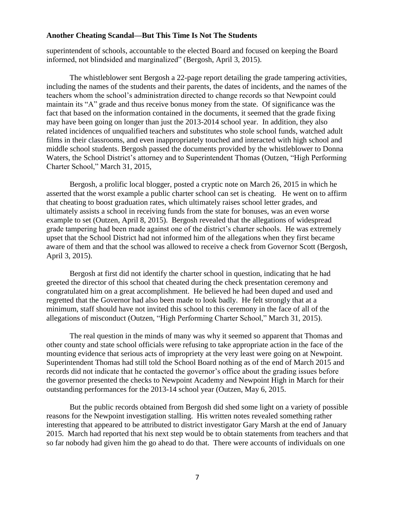superintendent of schools, accountable to the elected Board and focused on keeping the Board informed, not blindsided and marginalized" (Bergosh, April 3, 2015).

The whistleblower sent Bergosh a 22-page report detailing the grade tampering activities, including the names of the students and their parents, the dates of incidents, and the names of the teachers whom the school's administration directed to change records so that Newpoint could maintain its "A" grade and thus receive bonus money from the state. Of significance was the fact that based on the information contained in the documents, it seemed that the grade fixing may have been going on longer than just the 2013-2014 school year. In addition, they also related incidences of unqualified teachers and substitutes who stole school funds, watched adult films in their classrooms, and even inappropriately touched and interacted with high school and middle school students. Bergosh passed the documents provided by the whistleblower to Donna Waters, the School District's attorney and to Superintendent Thomas (Outzen, "High Performing Charter School," March 31, 2015,

Bergosh, a prolific local blogger, posted a cryptic note on March 26, 2015 in which he asserted that the worst example a public charter school can set is cheating. He went on to affirm that cheating to boost graduation rates, which ultimately raises school letter grades, and ultimately assists a school in receiving funds from the state for bonuses, was an even worse example to set (Outzen, April 8, 2015). Bergosh revealed that the allegations of widespread grade tampering had been made against one of the district's charter schools. He was extremely upset that the School District had not informed him of the allegations when they first became aware of them and that the school was allowed to receive a check from Governor Scott (Bergosh, April 3, 2015).

Bergosh at first did not identify the charter school in question, indicating that he had greeted the director of this school that cheated during the check presentation ceremony and congratulated him on a great accomplishment. He believed he had been duped and used and regretted that the Governor had also been made to look badly. He felt strongly that at a minimum, staff should have not invited this school to this ceremony in the face of all of the allegations of misconduct (Outzen, "High Performing Charter School," March 31, 2015).

The real question in the minds of many was why it seemed so apparent that Thomas and other county and state school officials were refusing to take appropriate action in the face of the mounting evidence that serious acts of impropriety at the very least were going on at Newpoint. Superintendent Thomas had still told the School Board nothing as of the end of March 2015 and records did not indicate that he contacted the governor's office about the grading issues before the governor presented the checks to Newpoint Academy and Newpoint High in March for their outstanding performances for the 2013-14 school year (Outzen, May 6, 2015.

But the public records obtained from Bergosh did shed some light on a variety of possible reasons for the Newpoint investigation stalling. His written notes revealed something rather interesting that appeared to be attributed to district investigator Gary Marsh at the end of January 2015. March had reported that his next step would be to obtain statements from teachers and that so far nobody had given him the go ahead to do that. There were accounts of individuals on one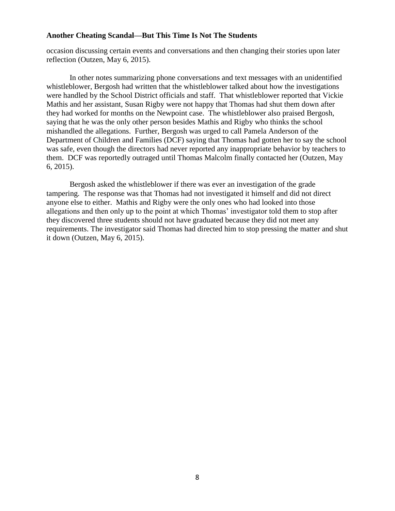occasion discussing certain events and conversations and then changing their stories upon later reflection (Outzen, May 6, 2015).

In other notes summarizing phone conversations and text messages with an unidentified whistleblower, Bergosh had written that the whistleblower talked about how the investigations were handled by the School District officials and staff. That whistleblower reported that Vickie Mathis and her assistant, Susan Rigby were not happy that Thomas had shut them down after they had worked for months on the Newpoint case. The whistleblower also praised Bergosh, saying that he was the only other person besides Mathis and Rigby who thinks the school mishandled the allegations. Further, Bergosh was urged to call Pamela Anderson of the Department of Children and Families (DCF) saying that Thomas had gotten her to say the school was safe, even though the directors had never reported any inappropriate behavior by teachers to them. DCF was reportedly outraged until Thomas Malcolm finally contacted her (Outzen, May 6, 2015).

Bergosh asked the whistleblower if there was ever an investigation of the grade tampering. The response was that Thomas had not investigated it himself and did not direct anyone else to either. Mathis and Rigby were the only ones who had looked into those allegations and then only up to the point at which Thomas' investigator told them to stop after they discovered three students should not have graduated because they did not meet any requirements. The investigator said Thomas had directed him to stop pressing the matter and shut it down (Outzen, May 6, 2015).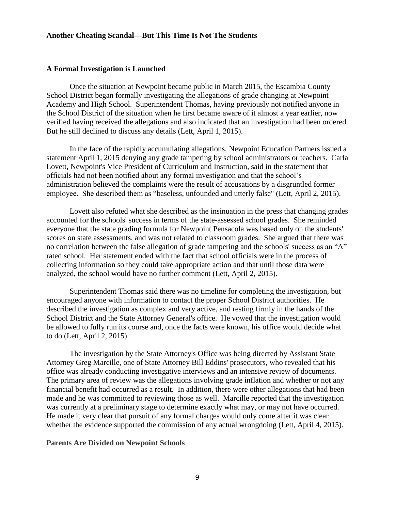#### **A Formal Investigation is Launched**

Once the situation at Newpoint became public in March 2015, the Escambia County School District began formally investigating the allegations of grade changing at Newpoint Academy and High School. Superintendent Thomas, having previously not notified anyone in the School District of the situation when he first became aware of it almost a year earlier, now verified having received the allegations and also indicated that an investigation had been ordered. But he still declined to discuss any details (Lett, April 1, 2015).

In the face of the rapidly accumulating allegations, Newpoint Education Partners issued a statement April 1, 2015 denying any grade tampering by school administrators or teachers. Carla Lovett, Newpoint's Vice President of Curriculum and Instruction, said in the statement that officials had not been notified about any formal investigation and that the school's administration believed the complaints were the result of accusations by a disgruntled former employee. She described them as "baseless, unfounded and utterly false" (Lett, April 2, 2015).

Lovett also refuted what she described as the insinuation in the press that changing grades accounted for the schools' success in terms of the state-assessed school grades. She reminded everyone that the state grading formula for Newpoint Pensacola was based only on the students' scores on state assessments, and was not related to classroom grades. She argued that there was no correlation between the false allegation of grade tampering and the schools' success as an "A" rated school. Her statement ended with the fact that school officials were in the process of collecting information so they could take appropriate action and that until those data were analyzed, the school would have no further comment (Lett, April 2, 2015).

Superintendent Thomas said there was no timeline for completing the investigation, but encouraged anyone with information to contact the proper School District authorities. He described the investigation as complex and very active, and resting firmly in the hands of the School District and the State Attorney General's office. He vowed that the investigation would be allowed to fully run its course and, once the facts were known, his office would decide what to do (Lett, April 2, 2015).

The investigation by the State Attorney's Office was being directed by Assistant State Attorney Greg Marcille, one of State Attorney Bill Eddins' prosecutors, who revealed that his office was already conducting investigative interviews and an intensive review of documents. The primary area of review was the allegations involving grade inflation and whether or not any financial benefit had occurred as a result. In addition, there were other allegations that had been made and he was committed to reviewing those as well. Marcille reported that the investigation was currently at a preliminary stage to determine exactly what may, or may not have occurred. He made it very clear that pursuit of any formal charges would only come after it was clear whether the evidence supported the commission of any actual wrongdoing (Lett, April 4, 2015).

#### **Parents Are Divided on Newpoint Schools**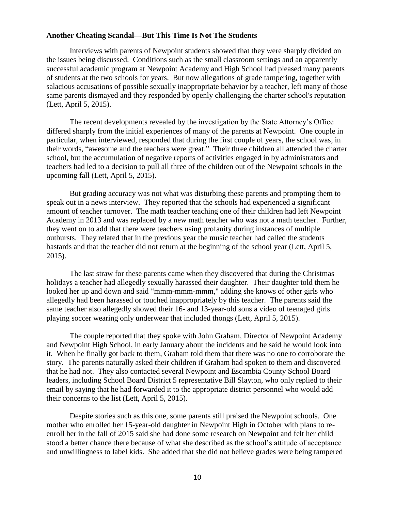Interviews with parents of Newpoint students showed that they were sharply divided on the issues being discussed. Conditions such as the small classroom settings and an apparently successful academic program at Newpoint Academy and High School had pleased many parents of students at the two schools for years. But now allegations of grade tampering, together with salacious accusations of possible sexually inappropriate behavior by a teacher, left many of those same parents dismayed and they responded by openly challenging the charter school's reputation (Lett, April 5, 2015).

The recent developments revealed by the investigation by the State Attorney's Office differed sharply from the initial experiences of many of the parents at Newpoint. One couple in particular, when interviewed, responded that during the first couple of years, the school was, in their words, "awesome and the teachers were great." Their three children all attended the charter school, but the accumulation of negative reports of activities engaged in by administrators and teachers had led to a decision to pull all three of the children out of the Newpoint schools in the upcoming fall (Lett, April 5, 2015).

But grading accuracy was not what was disturbing these parents and prompting them to speak out in a news interview. They reported that the schools had experienced a significant amount of teacher turnover. The math teacher teaching one of their children had left Newpoint Academy in 2013 and was replaced by a new math teacher who was not a math teacher. Further, they went on to add that there were teachers using profanity during instances of multiple outbursts. They related that in the previous year the music teacher had called the students bastards and that the teacher did not return at the beginning of the school year (Lett, April 5, 2015).

The last straw for these parents came when they discovered that during the Christmas holidays a teacher had allegedly sexually harassed their daughter. Their daughter told them he looked her up and down and said "mmm-mmm-mmm," adding she knows of other girls who allegedly had been harassed or touched inappropriately by this teacher. The parents said the same teacher also allegedly showed their 16- and 13-year-old sons a video of teenaged girls playing soccer wearing only underwear that included thongs (Lett, April 5, 2015).

The couple reported that they spoke with John Graham, Director of Newpoint Academy and Newpoint High School, in early January about the incidents and he said he would look into it. When he finally got back to them, Graham told them that there was no one to corroborate the story. The parents naturally asked their children if Graham had spoken to them and discovered that he had not. They also contacted several Newpoint and Escambia County School Board leaders, including School Board District 5 representative Bill Slayton, who only replied to their email by saying that he had forwarded it to the appropriate district personnel who would add their concerns to the list (Lett, April 5, 2015).

Despite stories such as this one, some parents still praised the Newpoint schools. One mother who enrolled her 15-year-old daughter in Newpoint High in October with plans to reenroll her in the fall of 2015 said she had done some research on Newpoint and felt her child stood a better chance there because of what she described as the school's attitude of acceptance and unwillingness to label kids. She added that she did not believe grades were being tampered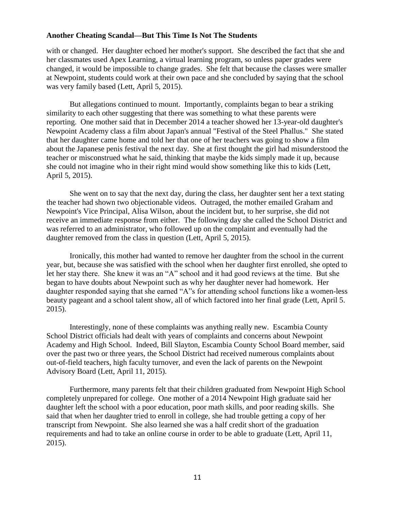with or changed. Her daughter echoed her mother's support. She described the fact that she and her classmates used Apex Learning, a virtual learning program, so unless paper grades were changed, it would be impossible to change grades. She felt that because the classes were smaller at Newpoint, students could work at their own pace and she concluded by saying that the school was very family based (Lett, April 5, 2015).

But allegations continued to mount. Importantly, complaints began to bear a striking similarity to each other suggesting that there was something to what these parents were reporting. One mother said that in December 2014 a teacher showed her 13-year-old daughter's Newpoint Academy class a film about Japan's annual "Festival of the Steel Phallus." She stated that her daughter came home and told her that one of her teachers was going to show a film about the Japanese penis festival the next day. She at first thought the girl had misunderstood the teacher or misconstrued what he said, thinking that maybe the kids simply made it up, because she could not imagine who in their right mind would show something like this to kids (Lett, April 5, 2015).

She went on to say that the next day, during the class, her daughter sent her a text stating the teacher had shown two objectionable videos. Outraged, the mother emailed Graham and Newpoint's Vice Principal, Alisa Wilson, about the incident but, to her surprise, she did not receive an immediate response from either. The following day she called the School District and was referred to an administrator, who followed up on the complaint and eventually had the daughter removed from the class in question (Lett, April 5, 2015).

Ironically, this mother had wanted to remove her daughter from the school in the current year, but, because she was satisfied with the school when her daughter first enrolled, she opted to let her stay there. She knew it was an "A" school and it had good reviews at the time. But she began to have doubts about Newpoint such as why her daughter never had homework. Her daughter responded saying that she earned "A"s for attending school functions like a women-less beauty pageant and a school talent show, all of which factored into her final grade (Lett, April 5. 2015).

Interestingly, none of these complaints was anything really new. Escambia County School District officials had dealt with years of complaints and concerns about Newpoint Academy and High School. Indeed, Bill Slayton, Escambia County School Board member, said over the past two or three years, the School District had received numerous complaints about out-of-field teachers, high faculty turnover, and even the lack of parents on the Newpoint Advisory Board (Lett, April 11, 2015).

Furthermore, many parents felt that their children graduated from Newpoint High School completely unprepared for college. One mother of a 2014 Newpoint High graduate said her daughter left the school with a poor education, poor math skills, and poor reading skills. She said that when her daughter tried to enroll in college, she had trouble getting a copy of her transcript from Newpoint. She also learned she was a half credit short of the graduation requirements and had to take an online course in order to be able to graduate (Lett, April 11, 2015).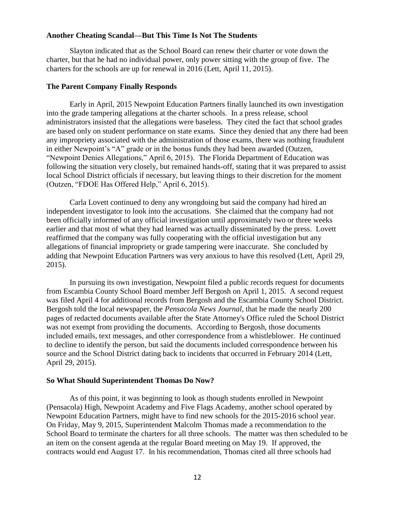Slayton indicated that as the School Board can renew their charter or vote down the charter, but that he had no individual power, only power sitting with the group of five. The charters for the schools are up for renewal in 2016 (Lett, April 11, 2015).

#### **The Parent Company Finally Responds**

Early in April, 2015 Newpoint Education Partners finally launched its own investigation into the grade tampering allegations at the charter schools. In a press release, school administrators insisted that the allegations were baseless. They cited the fact that school grades are based only on student performance on state exams. Since they denied that any there had been any impropriety associated with the administration of those exams, there was nothing fraudulent in either Newpoint's "A" grade or in the bonus funds they had been awarded (Outzen, "Newpoint Denies Allegations," April 6, 2015). The Florida Department of Education was following the situation very closely, but remained hands-off, stating that it was prepared to assist local School District officials if necessary, but leaving things to their discretion for the moment (Outzen, "FDOE Has Offered Help," April 6, 2015).

Carla Lovett continued to deny any wrongdoing but said the company had hired an independent investigator to look into the accusations. She claimed that the company had not been officially informed of any official investigation until approximately two or three weeks earlier and that most of what they had learned was actually disseminated by the press. Lovett reaffirmed that the company was fully cooperating with the official investigation but any allegations of financial impropriety or grade tampering were inaccurate. She concluded by adding that Newpoint Education Partners was very anxious to have this resolved (Lett, April 29, 2015).

In pursuing its own investigation, Newpoint filed a public records request for documents from Escambia County School Board member Jeff Bergosh on April 1, 2015. A second request was filed April 4 for additional records from Bergosh and the Escambia County School District. Bergosh told the local newspaper, the *Pensacola News Journal*, that he made the nearly 200 pages of redacted documents available after the State Attorney's Office ruled the School District was not exempt from providing the documents. According to Bergosh, those documents included emails, text messages, and other correspondence from a whistleblower. He continued to decline to identify the person, but said the documents included correspondence between his source and the School District dating back to incidents that occurred in February 2014 (Lett, April 29, 2015).

#### **So What Should Superintendent Thomas Do Now?**

As of this point, it was beginning to look as though students enrolled in Newpoint (Pensacola) High, Newpoint Academy and Five Flags Academy, another school operated by Newpoint Education Partners, might have to find new schools for the 2015-2016 school year. On Friday, May 9, 2015, Superintendent Malcolm Thomas made a recommendation to the School Board to terminate the charters for all three schools. The matter was then scheduled to be an item on the consent agenda at the regular Board meeting on May 19. If approved, the contracts would end August 17. In his recommendation, Thomas cited all three schools had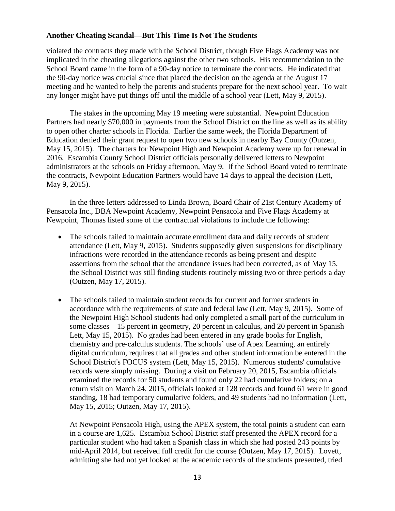violated the contracts they made with the School District, though Five Flags Academy was not implicated in the cheating allegations against the other two schools. His recommendation to the School Board came in the form of a 90-day notice to terminate the contracts. He indicated that the 90-day notice was crucial since that placed the decision on the agenda at the August 17 meeting and he wanted to help the parents and students prepare for the next school year. To wait any longer might have put things off until the middle of a school year (Lett, May 9, 2015).

The stakes in the upcoming May 19 meeting were substantial. Newpoint Education Partners had nearly \$70,000 in payments from the School District on the line as well as its ability to open other charter schools in Florida. Earlier the same week, the Florida Department of Education denied their grant request to open two new schools in nearby Bay County (Outzen, May 15, 2015). The charters for Newpoint High and Newpoint Academy were up for renewal in 2016. Escambia County School District officials personally delivered letters to Newpoint administrators at the schools on Friday afternoon, May 9. If the School Board voted to terminate the contracts, Newpoint Education Partners would have 14 days to appeal the decision (Lett, May 9, 2015).

In the three letters addressed to Linda Brown, Board Chair of 21st Century Academy of Pensacola Inc., DBA Newpoint Academy, Newpoint Pensacola and Five Flags Academy at Newpoint, Thomas listed some of the contractual violations to include the following:

- The schools failed to maintain accurate enrollment data and daily records of student attendance (Lett, May 9, 2015). Students supposedly given suspensions for disciplinary infractions were recorded in the attendance records as being present and despite assertions from the school that the attendance issues had been corrected, as of May 15, the School District was still finding students routinely missing two or three periods a day (Outzen, May 17, 2015).
- The schools failed to maintain student records for current and former students in accordance with the requirements of state and federal law (Lett, May 9, 2015). Some of the Newpoint High School students had only completed a small part of the curriculum in some classes—15 percent in geometry, 20 percent in calculus, and 20 percent in Spanish Lett, May 15, 2015). No grades had been entered in any grade books for English, chemistry and pre-calculus students. The schools' use of Apex Learning, an entirely digital curriculum, requires that all grades and other student information be entered in the School District's FOCUS system (Lett, May 15, 2015). Numerous students' cumulative records were simply missing. During a visit on February 20, 2015, Escambia officials examined the records for 50 students and found only 22 had cumulative folders; on a return visit on March 24, 2015, officials looked at 128 records and found 61 were in good standing, 18 had temporary cumulative folders, and 49 students had no information (Lett, May 15, 2015; Outzen, May 17, 2015).

At Newpoint Pensacola High, using the APEX system, the total points a student can earn in a course are 1,625. Escambia School District staff presented the APEX record for a particular student who had taken a Spanish class in which she had posted 243 points by mid-April 2014, but received full credit for the course (Outzen, May 17, 2015). Lovett, admitting she had not yet looked at the academic records of the students presented, tried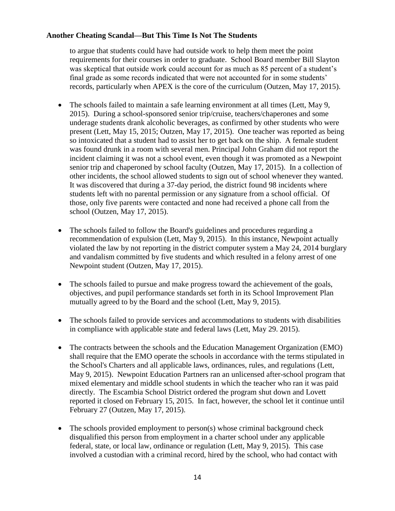to argue that students could have had outside work to help them meet the point requirements for their courses in order to graduate. School Board member Bill Slayton was skeptical that outside work could account for as much as 85 percent of a student's final grade as some records indicated that were not accounted for in some students' records, particularly when APEX is the core of the curriculum (Outzen, May 17, 2015).

- The schools failed to maintain a safe learning environment at all times (Lett, May 9, 2015). During a school-sponsored senior trip/cruise, teachers/chaperones and some underage students drank alcoholic beverages, as confirmed by other students who were present (Lett, May 15, 2015; Outzen, May 17, 2015). One teacher was reported as being so intoxicated that a student had to assist her to get back on the ship. A female student was found drunk in a room with several men. Principal John Graham did not report the incident claiming it was not a school event, even though it was promoted as a Newpoint senior trip and chaperoned by school faculty (Outzen, May 17, 2015). In a collection of other incidents, the school allowed students to sign out of school whenever they wanted. It was discovered that during a 37-day period, the district found 98 incidents where students left with no parental permission or any signature from a school official. Of those, only five parents were contacted and none had received a phone call from the school (Outzen, May 17, 2015).
- The schools failed to follow the Board's guidelines and procedures regarding a recommendation of expulsion (Lett, May 9, 2015). In this instance, Newpoint actually violated the law by not reporting in the district computer system a May 24, 2014 burglary and vandalism committed by five students and which resulted in a felony arrest of one Newpoint student (Outzen, May 17, 2015).
- The schools failed to pursue and make progress toward the achievement of the goals, objectives, and pupil performance standards set forth in its School Improvement Plan mutually agreed to by the Board and the school (Lett, May 9, 2015).
- The schools failed to provide services and accommodations to students with disabilities in compliance with applicable state and federal laws (Lett, May 29. 2015).
- The contracts between the schools and the Education Management Organization (EMO) shall require that the EMO operate the schools in accordance with the terms stipulated in the School's Charters and all applicable laws, ordinances, rules, and regulations (Lett, May 9, 2015). Newpoint Education Partners ran an unlicensed after-school program that mixed elementary and middle school students in which the teacher who ran it was paid directly. The Escambia School District ordered the program shut down and Lovett reported it closed on February 15, 2015. In fact, however, the school let it continue until February 27 (Outzen, May 17, 2015).
- The schools provided employment to person(s) whose criminal background check disqualified this person from employment in a charter school under any applicable federal, state, or local law, ordinance or regulation (Lett, May 9, 2015). This case involved a custodian with a criminal record, hired by the school, who had contact with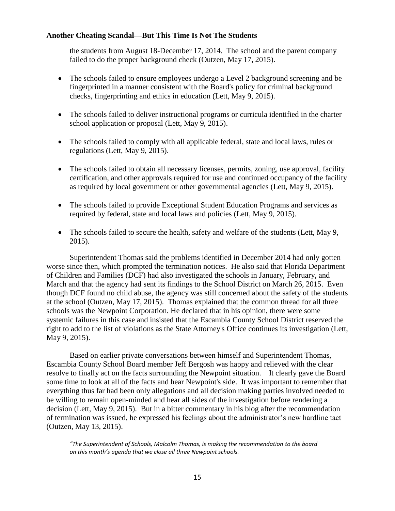the students from August 18-December 17, 2014. The school and the parent company failed to do the proper background check (Outzen, May 17, 2015).

- The schools failed to ensure employees undergo a Level 2 background screening and be fingerprinted in a manner consistent with the Board's policy for criminal background checks, fingerprinting and ethics in education (Lett, May 9, 2015).
- The schools failed to deliver instructional programs or curricula identified in the charter school application or proposal (Lett, May 9, 2015).
- The schools failed to comply with all applicable federal, state and local laws, rules or regulations (Lett, May 9, 2015).
- The schools failed to obtain all necessary licenses, permits, zoning, use approval, facility certification, and other approvals required for use and continued occupancy of the facility as required by local government or other governmental agencies (Lett, May 9, 2015).
- The schools failed to provide Exceptional Student Education Programs and services as required by federal, state and local laws and policies (Lett, May 9, 2015).
- The schools failed to secure the health, safety and welfare of the students (Lett, May 9, 2015).

Superintendent Thomas said the problems identified in December 2014 had only gotten worse since then, which prompted the termination notices. He also said that Florida Department of Children and Families (DCF) had also investigated the schools in January, February, and March and that the agency had sent its findings to the School District on March 26, 2015. Even though DCF found no child abuse, the agency was still concerned about the safety of the students at the school (Outzen, May 17, 2015). Thomas explained that the common thread for all three schools was the Newpoint Corporation. He declared that in his opinion, there were some systemic failures in this case and insisted that the Escambia County School District reserved the right to add to the list of violations as the State Attorney's Office continues its investigation (Lett, May 9, 2015).

Based on earlier private conversations between himself and Superintendent Thomas, Escambia County School Board member Jeff Bergosh was happy and relieved with the clear resolve to finally act on the facts surrounding the Newpoint situation. It clearly gave the Board some time to look at all of the facts and hear Newpoint's side. It was important to remember that everything thus far had been only allegations and all decision making parties involved needed to be willing to remain open-minded and hear all sides of the investigation before rendering a decision (Lett, May 9, 2015). But in a bitter commentary in his blog after the recommendation of termination was issued, he expressed his feelings about the administrator's new hardline tact (Outzen, May 13, 2015).

*"The Superintendent of Schools, Malcolm Thomas, is making the recommendation to the board on this month's agenda that we close all three Newpoint schools.*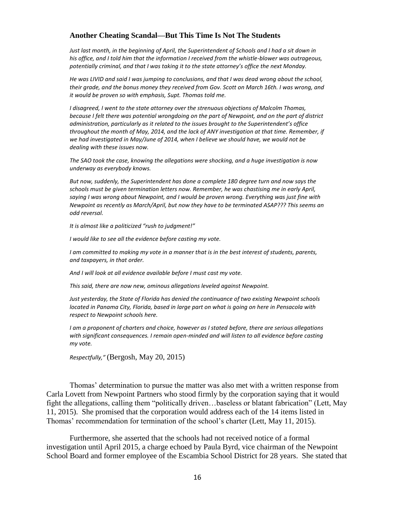*Just last month, in the beginning of April, the Superintendent of Schools and I had a sit down in his office, and I told him that the information I received from the whistle-blower was outrageous, potentially criminal, and that I was taking it to the state attorney's office the next Monday.*

*He was LIVID and said I was jumping to conclusions, and that I was dead wrong about the school, their grade, and the bonus money they received from Gov. Scott on March 16th. I was wrong, and it would be proven so with emphasis, Supt. Thomas told me.*

*I disagreed, I went to the state attorney over the strenuous objections of Malcolm Thomas, because I felt there was potential wrongdoing on the part of Newpoint, and on the part of district administration, particularly as it related to the issues brought to the Superintendent's office throughout the month of May, 2014, and the lack of ANY investigation at that time. Remember, if we had investigated in May/June of 2014, when I believe we should have, we would not be dealing with these issues now.*

*The SAO took the case, knowing the allegations were shocking, and a huge investigation is now underway as everybody knows.*

*But now, suddenly, the Superintendent has done a complete 180 degree turn and now says the schools must be given termination letters now. Remember, he was chastising me in early April, saying I was wrong about Newpoint, and I would be proven wrong. Everything was just fine with Newpoint as recently as March/April, but now they have to be terminated ASAP??? This seems an odd reversal.*

*It is almost like a politicized "rush to judgment!"*

*I would like to see all the evidence before casting my vote.*

*I am committed to making my vote in a manner that is in the best interest of students, parents, and taxpayers, in that order.*

*And I will look at all evidence available before I must cast my vote.*

*This said, there are now new, ominous allegations leveled against Newpoint.*

*Just yesterday, the State of Florida has denied the continuance of two existing Newpoint schools located in Panama City, Florida, based in large part on what is going on here in Pensacola with respect to Newpoint schools here.*

*I am a proponent of charters and choice, however as I stated before, there are serious allegations with significant consequences. I remain open-minded and will listen to all evidence before casting my vote.*

*Respectfully,"* (Bergosh, May 20, 2015)

Thomas' determination to pursue the matter was also met with a written response from Carla Lovett from Newpoint Partners who stood firmly by the corporation saying that it would fight the allegations, calling them "politically driven…baseless or blatant fabrication" (Lett, May 11, 2015). She promised that the corporation would address each of the 14 items listed in Thomas' recommendation for termination of the school's charter (Lett, May 11, 2015).

Furthermore, she asserted that the schools had not received notice of a formal investigation until April 2015, a charge echoed by Paula Byrd, vice chairman of the Newpoint School Board and former employee of the Escambia School District for 28 years. She stated that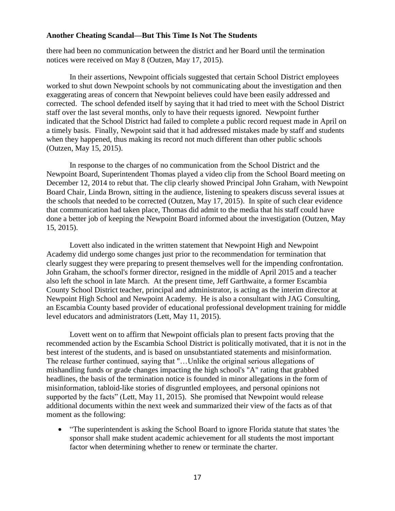there had been no communication between the district and her Board until the termination notices were received on May 8 (Outzen, May 17, 2015).

In their assertions, Newpoint officials suggested that certain School District employees worked to shut down Newpoint schools by not communicating about the investigation and then exaggerating areas of concern that Newpoint believes could have been easily addressed and corrected. The school defended itself by saying that it had tried to meet with the School District staff over the last several months, only to have their requests ignored. Newpoint further indicated that the School District had failed to complete a public record request made in April on a timely basis. Finally, Newpoint said that it had addressed mistakes made by staff and students when they happened, thus making its record not much different than other public schools (Outzen, May 15, 2015).

In response to the charges of no communication from the School District and the Newpoint Board, Superintendent Thomas played a video clip from the School Board meeting on December 12, 2014 to rebut that. The clip clearly showed Principal John Graham, with Newpoint Board Chair, Linda Brown, sitting in the audience, listening to speakers discuss several issues at the schools that needed to be corrected (Outzen, May 17, 2015). In spite of such clear evidence that communication had taken place, Thomas did admit to the media that his staff could have done a better job of keeping the Newpoint Board informed about the investigation (Outzen, May 15, 2015).

Lovett also indicated in the written statement that Newpoint High and Newpoint Academy did undergo some changes just prior to the recommendation for termination that clearly suggest they were preparing to present themselves well for the impending confrontation. John Graham, the school's former director, resigned in the middle of April 2015 and a teacher also left the school in late March. At the present time, Jeff Garthwaite, a former Escambia County School District teacher, principal and administrator, is acting as the interim director at Newpoint High School and Newpoint Academy. He is also a consultant with JAG Consulting, an Escambia County based provider of educational professional development training for middle level educators and administrators (Lett, May 11, 2015).

Lovett went on to affirm that Newpoint officials plan to present facts proving that the recommended action by the Escambia School District is politically motivated, that it is not in the best interest of the students, and is based on unsubstantiated statements and misinformation. The release further continued, saying that "…Unlike the original serious allegations of mishandling funds or grade changes impacting the high school's "A" rating that grabbed headlines, the basis of the termination notice is founded in minor allegations in the form of misinformation, tabloid-like stories of disgruntled employees, and personal opinions not supported by the facts" (Lett, May 11, 2015). She promised that Newpoint would release additional documents within the next week and summarized their view of the facts as of that moment as the following:

• "The superintendent is asking the School Board to ignore Florida statute that states 'the sponsor shall make student academic achievement for all students the most important factor when determining whether to renew or terminate the charter.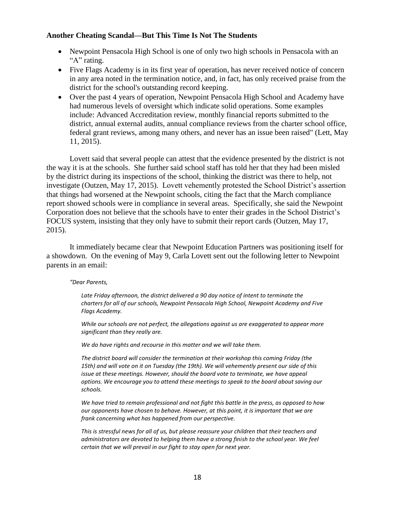- Newpoint Pensacola High School is one of only two high schools in Pensacola with an "A" rating.
- Five Flags Academy is in its first year of operation, has never received notice of concern in any area noted in the termination notice, and, in fact, has only received praise from the district for the school's outstanding record keeping.
- Over the past 4 years of operation, Newpoint Pensacola High School and Academy have had numerous levels of oversight which indicate solid operations. Some examples include: Advanced Accreditation review, monthly financial reports submitted to the district, annual external audits, annual compliance reviews from the charter school office, federal grant reviews, among many others, and never has an issue been raised" (Lett, May 11, 2015).

Lovett said that several people can attest that the evidence presented by the district is not the way it is at the schools. She further said school staff has told her that they had been misled by the district during its inspections of the school, thinking the district was there to help, not investigate (Outzen, May 17, 2015). Lovett vehemently protested the School District's assertion that things had worsened at the Newpoint schools, citing the fact that the March compliance report showed schools were in compliance in several areas. Specifically, she said the Newpoint Corporation does not believe that the schools have to enter their grades in the School District's FOCUS system, insisting that they only have to submit their report cards (Outzen, May 17, 2015).

It immediately became clear that Newpoint Education Partners was positioning itself for a showdown. On the evening of May 9, Carla Lovett sent out the following letter to Newpoint parents in an email:

#### *"Dear Parents,*

*Late Friday afternoon, the district delivered a 90 day notice of intent to terminate the charters for all of our schools, Newpoint Pensacola High School, Newpoint Academy and Five Flags Academy.* 

*While our schools are not perfect, the allegations against us are exaggerated to appear more significant than they really are.*

*We do have rights and recourse in this matter and we will take them.* 

*The district board will consider the termination at their workshop this coming Friday (the 15th) and will vote on it on Tuesday (the 19th). We will vehemently present our side of this issue at these meetings. However, should the board vote to terminate, we have appeal options. We encourage you to attend these meetings to speak to the board about saving our schools.* 

*We have tried to remain professional and not fight this battle in the press, as opposed to how our opponents have chosen to behave. However, at this point, it is important that we are frank concerning what has happened from our perspective.* 

*This is stressful news for all of us, but please reassure your children that their teachers and administrators are devoted to helping them have a strong finish to the school year. We feel certain that we will prevail in our fight to stay open for next year.*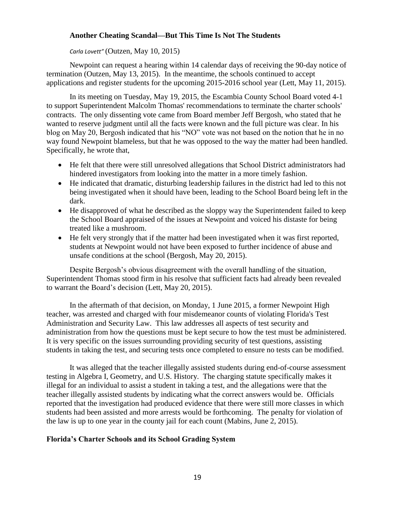### *Carla Lovett"* (Outzen, May 10, 2015)

Newpoint can request a hearing within 14 calendar days of receiving the 90-day notice of termination (Outzen, May 13, 2015). In the meantime, the schools continued to accept applications and register students for the upcoming 2015-2016 school year (Lett, May 11, 2015).

In its meeting on Tuesday, May 19, 2015, the Escambia County School Board voted 4-1 to support Superintendent Malcolm Thomas' recommendations to terminate the charter schools' contracts. The only dissenting vote came from Board member Jeff Bergosh, who stated that he wanted to reserve judgment until all the facts were known and the full picture was clear. In his blog on May 20, Bergosh indicated that his "NO" vote was not based on the notion that he in no way found Newpoint blameless, but that he was opposed to the way the matter had been handled. Specifically, he wrote that,

- He felt that there were still unresolved allegations that School District administrators had hindered investigators from looking into the matter in a more timely fashion.
- He indicated that dramatic, disturbing leadership failures in the district had led to this not being investigated when it should have been, leading to the School Board being left in the dark.
- He disapproved of what he described as the sloppy way the Superintendent failed to keep the School Board appraised of the issues at Newpoint and voiced his distaste for being treated like a mushroom.
- He felt very strongly that if the matter had been investigated when it was first reported, students at Newpoint would not have been exposed to further incidence of abuse and unsafe conditions at the school (Bergosh, May 20, 2015).

Despite Bergosh's obvious disagreement with the overall handling of the situation, Superintendent Thomas stood firm in his resolve that sufficient facts had already been revealed to warrant the Board's decision (Lett, May 20, 2015).

In the aftermath of that decision, on Monday, 1 June 2015, a former Newpoint High teacher, was arrested and charged with four misdemeanor counts of violating Florida's Test Administration and Security Law. This law addresses all aspects of test security and administration from how the questions must be kept secure to how the test must be administered. It is very specific on the issues surrounding providing security of test questions, assisting students in taking the test, and securing tests once completed to ensure no tests can be modified.

It was alleged that the teacher illegally assisted students during end-of-course assessment testing in Algebra I, Geometry, and U.S. History. The charging statute specifically makes it illegal for an individual to assist a student in taking a test, and the allegations were that the teacher illegally assisted students by indicating what the correct answers would be. Officials reported that the investigation had produced evidence that there were still more classes in which students had been assisted and more arrests would be forthcoming. The penalty for violation of the law is up to one year in the county jail for each count (Mabins, June 2, 2015).

## **Florida's Charter Schools and its School Grading System**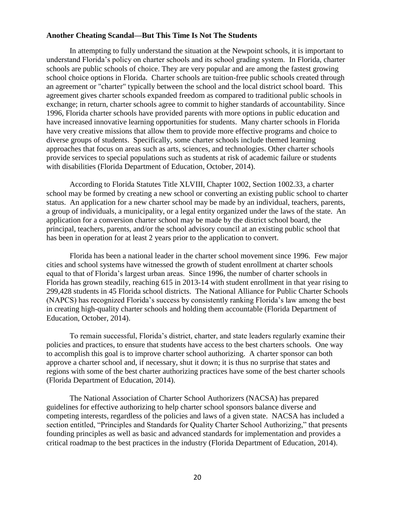In attempting to fully understand the situation at the Newpoint schools, it is important to understand Florida's policy on charter schools and its school grading system. In Florida, charter schools are public schools of choice. They are very popular and are among the fastest growing school choice options in Florida. Charter schools are tuition-free public schools created through an agreement or "charter" typically between the school and the local district school board. This agreement gives charter schools expanded freedom as compared to traditional public schools in exchange; in return, charter schools agree to commit to higher standards of accountability. Since 1996, Florida charter schools have provided parents with more options in public education and have increased innovative learning opportunities for students. Many charter schools in Florida have very creative missions that allow them to provide more effective programs and choice to diverse groups of students. Specifically, some charter schools include themed learning approaches that focus on areas such as arts, sciences, and technologies. Other charter schools provide services to special populations such as students at risk of academic failure or students with disabilities (Florida Department of Education, October, 2014).

According to Florida Statutes Title XLVIII, Chapter 1002, Section 1002.33, a charter school may be formed by creating a new school or converting an existing public school to charter status. An application for a new charter school may be made by an individual, teachers, parents, a group of individuals, a municipality, or a legal entity organized under the laws of the state. An application for a conversion charter school may be made by the district school board, the principal, teachers, parents, and/or the school advisory council at an existing public school that has been in operation for at least 2 years prior to the application to convert.

Florida has been a national leader in the charter school movement since 1996. Few major cities and school systems have witnessed the growth of student enrollment at charter schools equal to that of Florida's largest urban areas. Since 1996, the number of charter schools in Florida has grown steadily, reaching 615 in 2013-14 with student enrollment in that year rising to 299,428 students in 45 Florida school districts. The National Alliance for Public Charter Schools (NAPCS) has recognized Florida's success by consistently ranking Florida's law among the best in creating high-quality charter schools and holding them accountable (Florida Department of Education, October, 2014).

To remain successful, Florida's district, charter, and state leaders regularly examine their policies and practices, to ensure that students have access to the best charters schools. One way to accomplish this goal is to improve charter school authorizing. A charter sponsor can both approve a charter school and, if necessary, shut it down; it is thus no surprise that states and regions with some of the best charter authorizing practices have some of the best charter schools (Florida Department of Education, 2014).

The National Association of Charter School Authorizers (NACSA) has prepared guidelines for effective authorizing to help charter school sponsors balance diverse and competing interests, regardless of the policies and laws of a given state. NACSA has included a section entitled, "Principles and Standards for Quality Charter School Authorizing," that presents founding principles as well as basic and advanced standards for implementation and provides a critical roadmap to the best practices in the industry (Florida Department of Education, 2014).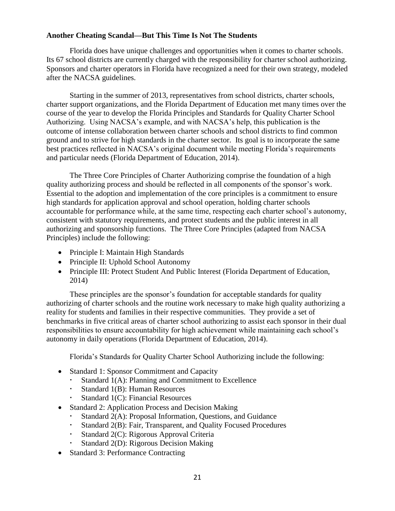Florida does have unique challenges and opportunities when it comes to charter schools. Its 67 school districts are currently charged with the responsibility for charter school authorizing. Sponsors and charter operators in Florida have recognized a need for their own strategy, modeled after the NACSA guidelines.

Starting in the summer of 2013, representatives from school districts, charter schools, charter support organizations, and the Florida Department of Education met many times over the course of the year to develop the Florida Principles and Standards for Quality Charter School Authorizing. Using NACSA's example, and with NACSA's help, this publication is the outcome of intense collaboration between charter schools and school districts to find common ground and to strive for high standards in the charter sector. Its goal is to incorporate the same best practices reflected in NACSA's original document while meeting Florida's requirements and particular needs (Florida Department of Education, 2014).

The Three Core Principles of Charter Authorizing comprise the foundation of a high quality authorizing process and should be reflected in all components of the sponsor's work. Essential to the adoption and implementation of the core principles is a commitment to ensure high standards for application approval and school operation, holding charter schools accountable for performance while, at the same time, respecting each charter school's autonomy, consistent with statutory requirements, and protect students and the public interest in all authorizing and sponsorship functions. The Three Core Principles (adapted from NACSA Principles) include the following:

- Principle I: Maintain High Standards
- Principle II: Uphold School Autonomy
- Principle III: Protect Student And Public Interest (Florida Department of Education, 2014)

These principles are the sponsor's foundation for acceptable standards for quality authorizing of charter schools and the routine work necessary to make high quality authorizing a reality for students and families in their respective communities. They provide a set of benchmarks in five critical areas of charter school authorizing to assist each sponsor in their dual responsibilities to ensure accountability for high achievement while maintaining each school's autonomy in daily operations (Florida Department of Education, 2014).

Florida's Standards for Quality Charter School Authorizing include the following:

- Standard 1: Sponsor Commitment and Capacity
	- Standard 1(A): Planning and Commitment to Excellence
	- Standard 1(B): Human Resources
	- Standard 1(C): Financial Resources
- Standard 2: Application Process and Decision Making
	- Standard 2(A): Proposal Information, Questions, and Guidance
	- Standard 2(B): Fair, Transparent, and Quality Focused Procedures
	- Standard 2(C): Rigorous Approval Criteria
	- Standard 2(D): Rigorous Decision Making
- Standard 3: Performance Contracting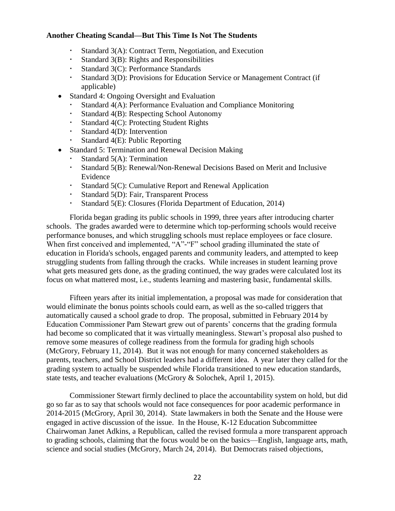- Standard 3(A): Contract Term, Negotiation, and Execution
- Standard 3(B): Rights and Responsibilities
- Standard 3(C): Performance Standards
- Standard 3(D): Provisions for Education Service or Management Contract (if applicable)
- Standard 4: Ongoing Oversight and Evaluation
	- Standard 4(A): Performance Evaluation and Compliance Monitoring
	- Standard 4(B): Respecting School Autonomy
	- Standard 4(C): Protecting Student Rights
	- Standard 4(D): Intervention
	- Standard 4(E): Public Reporting
- Standard 5: Termination and Renewal Decision Making
	- Standard 5(A): Termination
	- Standard 5(B): Renewal/Non-Renewal Decisions Based on Merit and Inclusive Evidence
	- Standard 5(C): Cumulative Report and Renewal Application
	- Standard 5(D): Fair, Transparent Process
	- Standard 5(E): Closures (Florida Department of Education, 2014)

Florida began grading its public schools in 1999, three years after introducing charter schools. The grades awarded were to determine which top-performing schools would receive performance bonuses, and which struggling schools must replace employees or face closure. When first conceived and implemented, "A"-"F" school grading illuminated the state of education in Florida's schools, engaged parents and community leaders, and attempted to keep struggling students from falling through the cracks. While increases in student learning prove what gets measured gets done, as the grading continued, the way grades were calculated lost its focus on what mattered most, i.e., students learning and mastering basic, fundamental skills.

Fifteen years after its initial implementation, a proposal was made for consideration that would eliminate the bonus points schools could earn, as well as the so-called triggers that automatically caused a school grade to drop. The proposal, submitted in February 2014 by Education Commissioner Pam Stewart grew out of parents' concerns that the grading formula had become so complicated that it was virtually meaningless. Stewart's proposal also pushed to remove some measures of college readiness from the formula for grading high schools (McGrory, February 11, 2014). But it was not enough for many concerned stakeholders as parents, teachers, and School District leaders had a different idea. A year later they called for the grading system to actually be suspended while Florida transitioned to new education standards, state tests, and teacher evaluations (McGrory & Solochek, April 1, 2015).

Commissioner Stewart firmly declined to place the accountability system on hold, but did go so far as to say that schools would not face consequences for poor academic performance in 2014-2015 (McGrory, April 30, 2014). State lawmakers in both the Senate and the House were engaged in active discussion of the issue. In the House, K-12 Education Subcommittee Chairwoman Janet Adkins, a Republican, called the revised formula a more transparent approach to grading schools, claiming that the focus would be on the basics—English, language arts, math, science and social studies (McGrory, March 24, 2014). But Democrats raised objections,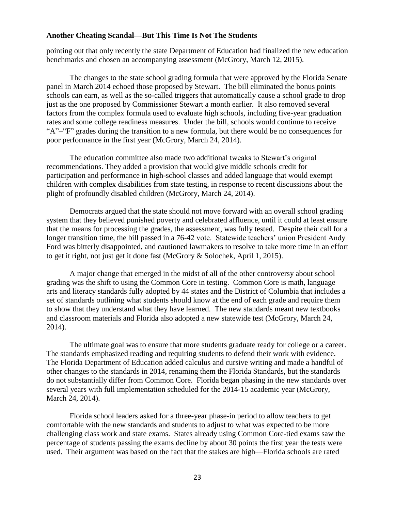pointing out that only recently the state Department of Education had finalized the new education benchmarks and chosen an accompanying assessment (McGrory, March 12, 2015).

The changes to the state school grading formula that were approved by the Florida Senate panel in March 2014 echoed those proposed by Stewart. The bill eliminated the bonus points schools can earn, as well as the so-called triggers that automatically cause a school grade to drop just as the one proposed by Commissioner Stewart a month earlier. It also removed several factors from the complex formula used to evaluate high schools, including five-year graduation rates and some college readiness measures. Under the bill, schools would continue to receive "A"–"F" grades during the transition to a new formula, but there would be no consequences for poor performance in the first year (McGrory, March 24, 2014).

The education committee also made two additional tweaks to Stewart's original recommendations. They added a provision that would give middle schools credit for participation and performance in high-school classes and added language that would exempt children with complex disabilities from state testing, in response to recent discussions about the plight of profoundly disabled children (McGrory, March 24, 2014).

Democrats argued that the state should not move forward with an overall school grading system that they believed punished poverty and celebrated affluence, until it could at least ensure that the means for processing the grades, the assessment, was fully tested. Despite their call for a longer transition time, the bill passed in a 76-42 vote. Statewide teachers' union President Andy Ford was bitterly disappointed, and cautioned lawmakers to resolve to take more time in an effort to get it right, not just get it done fast (McGrory & Solochek, April 1, 2015).

A major change that emerged in the midst of all of the other controversy about school grading was the shift to using the Common Core in testing. Common Core is math, language arts and literacy standards fully adopted by 44 states and the District of Columbia that includes a set of standards outlining what students should know at the end of each grade and require them to show that they understand what they have learned. The new standards meant new textbooks and classroom materials and Florida also adopted a new statewide test (McGrory, March 24, 2014).

The ultimate goal was to ensure that more students graduate ready for college or a career. The standards emphasized reading and requiring students to defend their work with evidence. The Florida Department of Education added calculus and cursive writing and made a handful of other changes to the standards in 2014, renaming them the Florida Standards, but the standards do not substantially differ from Common Core. Florida began phasing in the new standards over several years with full implementation scheduled for the 2014-15 academic year (McGrory, March 24, 2014).

Florida school leaders asked for a three-year phase-in period to allow teachers to get comfortable with the new standards and students to adjust to what was expected to be more challenging class work and state exams. States already using Common Core-tied exams saw the percentage of students passing the exams decline by about 30 points the first year the tests were used. Their argument was based on the fact that the stakes are high—Florida schools are rated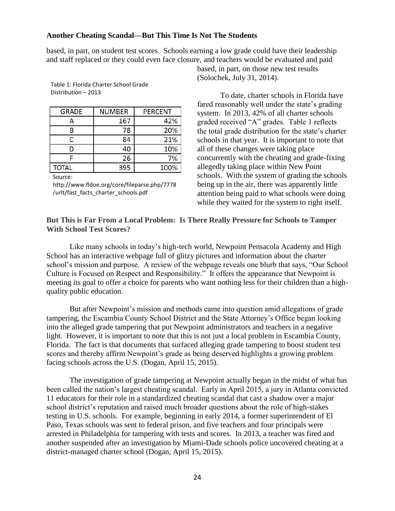based, in part, on student test scores. Schools earning a low grade could have their leadership and staff replaced or they could even face closure, and teachers would be evaluated and paid

| <b>GRADE</b> | <b>NUMBER</b> | <b>PERCENT</b> |
|--------------|---------------|----------------|
| А            | 167           | 42%            |
| R            | 78            | 20%            |
| C            | 84            | 21%            |
| D            | 40            | 10%            |
|              | 26            | 7%             |
| <b>TOTAL</b> | 395           | 100%           |

Table 1: Florida Charter School Grade Distribution – 2013

Source:

http://www.fldoe.org/core/fileparse.php/7778 /urlt/fast\_facts\_charter\_schools.pdf

based, in part, on those new test results (Solochek, July 31, 2014).

To date, charter schools in Florida have fared reasonably well under the state's grading system. In 2013, 42% of all charter schools graded received "A" grades. Table 1 reflects the total grade distribution for the state's charter schools in that year. It is important to note that all of these changes were taking place concurrently with the cheating and grade-fixing allegedly taking place within New Point schools. With the system of grading the schools being up in the air, there was apparently little attention being paid to what schools were doing while they waited for the system to right itself.

## **But This is Far From a Local Problem: Is There Really Pressure for Schools to Tamper With School Test Scores?**

Like many schools in today's high-tech world, Newpoint Pensacola Academy and High School has an interactive webpage full of glitzy pictures and information about the charter school's mission and purpose. A review of the webpage reveals one blurb that says, "Our School Culture is Focused on Respect and Responsibility." It offers the appearance that Newpoint is meeting its goal to offer a choice for parents who want nothing less for their children than a highquality public education.

But after Newpoint's mission and methods came into question amid allegations of grade tampering, the Escambia County School District and the State Attorney's Office began looking into the alleged grade tampering that put Newpoint administrators and teachers in a negative light. However, it is important to note that this is not just a local problem in Escambia County, Florida. The fact is that documents that surfaced alleging grade tampering to boost student test scores and thereby affirm Newpoint's grade as being deserved highlights a growing problem facing schools across the U.S. (Dogan, April 15, 2015).

The investigation of grade tampering at Newpoint actually began in the midst of what has been called the nation's largest cheating scandal. Early in April 2015, a jury in Atlanta convicted 11 educators for their role in a standardized cheating scandal that cast a shadow over a major school district's reputation and raised much broader questions about the role of high-stakes testing in U.S. schools. For example, beginning in early 2014, a former superintendent of El Paso, Texas schools was sent to federal prison, and five teachers and four principals were arrested in Philadelphia for tampering with tests and scores. In 2013, a teacher was fired and another suspended after an investigation by Miami-Dade schools police uncovered cheating at a district-managed charter school (Dogan, April 15, 2015).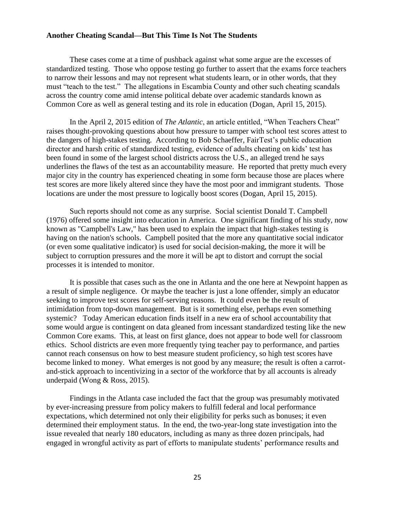These cases come at a time of pushback against what some argue are the excesses of standardized testing. Those who oppose testing go further to assert that the exams force teachers to narrow their lessons and may not represent what students learn, or in other words, that they must "teach to the test." The allegations in Escambia County and other such cheating scandals across the country come amid intense political debate over academic standards known as Common Core as well as general testing and its role in education (Dogan, April 15, 2015).

In the April 2, 2015 edition of *The Atlantic*, an article entitled, "When Teachers Cheat" raises thought-provoking questions about how pressure to tamper with school test scores attest to the dangers of high-stakes testing. According to Bob Schaeffer, FairTest's public education director and harsh critic of standardized testing, evidence of adults cheating on kids' test has been found in some of the largest school districts across the U.S., an alleged trend he says underlines the flaws of the test as an accountability measure. He reported that pretty much every major city in the country has experienced cheating in some form because those are places where test scores are more likely altered since they have the most poor and immigrant students. Those locations are under the most pressure to logically boost scores (Dogan, April 15, 2015).

Such reports should not come as any surprise. Social scientist Donald T. Campbell (1976) offered some insight into education in America. One significant finding of his study, now known as "Campbell's Law," has been used to explain the impact that high-stakes testing is having on the nation's schools. Campbell posited that the more any quantitative social indicator (or even some qualitative indicator) is used for social decision-making, the more it will be subject to corruption pressures and the more it will be apt to distort and corrupt the social processes it is intended to monitor.

It is possible that cases such as the one in Atlanta and the one here at Newpoint happen as a result of simple negligence. Or maybe the teacher is just a lone offender, simply an educator seeking to improve test scores for self-serving reasons. It could even be the result of intimidation from top-down management. But is it something else, perhaps even something systemic? Today American education finds itself in a new era of school accountability that some would argue is contingent on data gleaned from incessant standardized testing like the new Common Core exams. This, at least on first glance, does not appear to bode well for classroom ethics. School districts are even more frequently tying teacher pay to performance, and parties cannot reach consensus on how to best measure student proficiency, so high test scores have become linked to money. What emerges is not good by any measure; the result is often a carrotand-stick approach to incentivizing in a sector of the workforce that by all accounts is already underpaid (Wong & Ross, 2015).

Findings in the Atlanta case included the fact that the group was presumably motivated by ever-increasing pressure from policy makers to fulfill federal and local performance expectations, which determined not only their eligibility for perks such as bonuses; it even determined their employment status. In the end, the two-year-long state investigation into the issue revealed that nearly 180 educators, including as many as three dozen principals, had engaged in wrongful activity as part of efforts to manipulate students' performance results and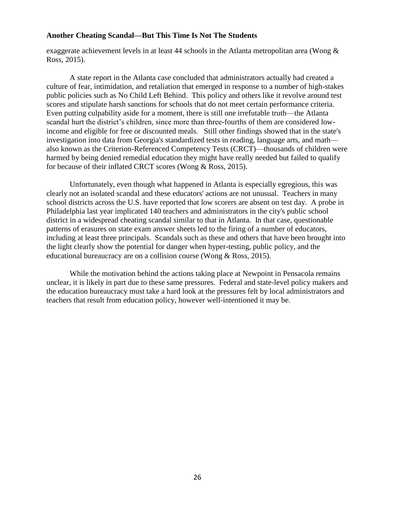exaggerate achievement levels in at least 44 schools in the Atlanta metropolitan area (Wong  $\&$ Ross, 2015).

A state report in the Atlanta case concluded that administrators actually had created a culture of fear, intimidation, and retaliation that emerged in response to a number of high-stakes public policies such as No Child Left Behind. This policy and others like it revolve around test scores and stipulate harsh sanctions for schools that do not meet certain performance criteria. Even putting culpability aside for a moment, there is still one irrefutable truth—the Atlanta scandal hurt the district's children, since more than three-fourths of them are considered lowincome and eligible for free or discounted meals. Still other findings showed that in the state's investigation into data from Georgia's standardized tests in reading, language arts, and math also known as the Criterion-Referenced Competency Tests (CRCT)—thousands of children were harmed by being denied remedial education they might have really needed but failed to qualify for because of their inflated CRCT scores (Wong & Ross, 2015).

Unfortunately, even though what happened in Atlanta is especially egregious, this was clearly not an isolated scandal and these educators' actions are not unusual. Teachers in many school districts across the U.S. have reported that low scorers are absent on test day. A probe in Philadelphia last year implicated 140 teachers and administrators in the city's public school district in a widespread cheating scandal similar to that in Atlanta. In that case, questionable patterns of erasures on state exam answer sheets led to the firing of a number of educators, including at least three principals. Scandals such as these and others that have been brought into the light clearly show the potential for danger when hyper-testing, public policy, and the educational bureaucracy are on a collision course (Wong & Ross, 2015).

While the motivation behind the actions taking place at Newpoint in Pensacola remains unclear, it is likely in part due to these same pressures. Federal and state-level policy makers and the education bureaucracy must take a hard look at the pressures felt by local administrators and teachers that result from education policy, however well-intentioned it may be.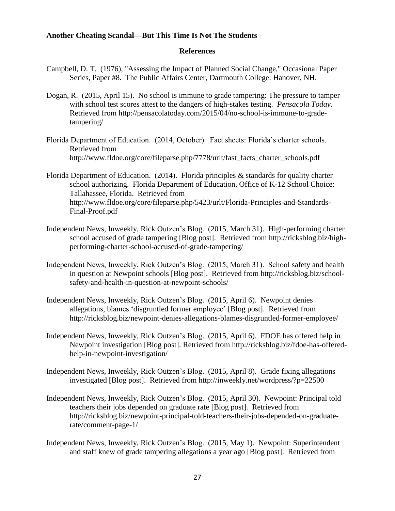#### **References**

- Campbell, D. T. (1976), "Assessing the Impact of Planned Social Change," Occasional Paper Series, Paper #8. The Public Affairs Center, Dartmouth College: Hanover, NH.
- Dogan, R. (2015, April 15). No school is immune to grade tampering: The pressure to tamper with school test scores attest to the dangers of high-stakes testing. *Pensacola Today*. Retrieved from http://pensacolatoday.com/2015/04/no-school-is-immune-to-gradetampering/
- Florida Department of Education. (2014, October). Fact sheets: Florida's charter schools. Retrieved from http://www.fldoe.org/core/fileparse.php/7778/urlt/fast\_facts\_charter\_schools.pdf
- Florida Department of Education. (2014). Florida principles & standards for quality charter school authorizing. Florida Department of Education, Office of K-12 School Choice: Tallahassee, Florida. Retrieved from http://www.fldoe.org/core/fileparse.php/5423/urlt/Florida-Principles-and-Standards-Final-Proof.pdf
- Independent News, Inweekly, Rick Outzen's Blog. (2015, March 31). High-performing charter school accused of grade tampering [Blog post]. Retrieved from http://ricksblog.biz/highperforming-charter-school-accused-of-grade-tampering/
- Independent News, Inweekly, Rick Outzen's Blog. (2015, March 31). School safety and health in question at Newpoint schools [Blog post]. Retrieved from http://ricksblog.biz/schoolsafety-and-health-in-question-at-newpoint-schools/
- Independent News, Inweekly, Rick Outzen's Blog. (2015, April 6). Newpoint denies allegations, blames 'disgruntled former employee' [Blog post]. Retrieved from http://ricksblog.biz/newpoint-denies-allegations-blames-disgruntled-former-employee/
- Independent News, Inweekly, Rick Outzen's Blog. (2015, April 6). FDOE has offered help in Newpoint investigation [Blog post]. Retrieved from http://ricksblog.biz/fdoe-has-offeredhelp-in-newpoint-investigation/
- Independent News, Inweekly, Rick Outzen's Blog. (2015, April 8). Grade fixing allegations investigated [Blog post]. Retrieved from http://inweekly.net/wordpress/?p=22500
- Independent News, Inweekly, Rick Outzen's Blog. (2015, April 30). Newpoint: Principal told teachers their jobs depended on graduate rate [Blog post]. Retrieved from http://ricksblog.biz/newpoint-principal-told-teachers-their-jobs-depended-on-graduaterate/comment-page-1/
- Independent News, Inweekly, Rick Outzen's Blog. (2015, May 1). Newpoint: Superintendent and staff knew of grade tampering allegations a year ago [Blog post]. Retrieved from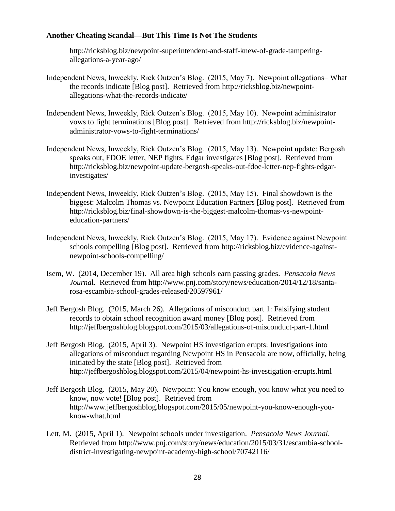http://ricksblog.biz/newpoint-superintendent-and-staff-knew-of-grade-tamperingallegations-a-year-ago/

- Independent News, Inweekly, Rick Outzen's Blog. (2015, May 7). Newpoint allegations– What the records indicate [Blog post]. Retrieved from http://ricksblog.biz/newpointallegations-what-the-records-indicate/
- Independent News, Inweekly, Rick Outzen's Blog. (2015, May 10). Newpoint administrator vows to fight terminations [Blog post]. Retrieved from http://ricksblog.biz/newpointadministrator-vows-to-fight-terminations/
- Independent News, Inweekly, Rick Outzen's Blog. (2015, May 13). Newpoint update: Bergosh speaks out, FDOE letter, NEP fights, Edgar investigates [Blog post]. Retrieved from http://ricksblog.biz/newpoint-update-bergosh-speaks-out-fdoe-letter-nep-fights-edgarinvestigates/
- Independent News, Inweekly, Rick Outzen's Blog. (2015, May 15). [Final showdown is the](http://ricksblog.biz/final-showdown-is-the-biggest-malcolm-thomas-vs-newpoint-education-partners/)  [biggest: Malcolm Thomas vs. Newpoint Education Partners](http://ricksblog.biz/final-showdown-is-the-biggest-malcolm-thomas-vs-newpoint-education-partners/) [Blog post]. Retrieved from http://ricksblog.biz/final-showdown-is-the-biggest-malcolm-thomas-vs-newpointeducation-partners/
- Independent News, Inweekly, Rick Outzen's Blog. (2015, May 17). Evidence against Newpoint schools compelling [Blog post]. Retrieved from http://ricksblog.biz/evidence-againstnewpoint-schools-compelling/
- Isem, W. (2014, December 19). All area high schools earn passing grades. *Pensacola News Journa*l. Retrieved from http://www.pnj.com/story/news/education/2014/12/18/santarosa-escambia-school-grades-released/20597961/
- Jeff Bergosh Blog. (2015, March 26). Allegations of misconduct part 1: Falsifying student records to obtain school recognition award money [Blog post]. Retrieved from http://jeffbergoshblog.blogspot.com/2015/03/allegations-of-misconduct-part-1.html
- Jeff Bergosh Blog. (2015, April 3). Newpoint HS investigation erupts: Investigations into allegations of misconduct regarding Newpoint HS in Pensacola are now, officially, being initiated by the state [Blog post]. Retrieved from http://jeffbergoshblog.blogspot.com/2015/04/newpoint-hs-investigation-errupts.html
- Jeff Bergosh Blog. (2015, May 20). Newpoint: You know enough, you know what you need to know, now vote! [Blog post]. Retrieved from http://www.jeffbergoshblog.blogspot.com/2015/05/newpoint-you-know-enough-youknow-what.html
- Lett, M. (2015, April 1). Newpoint schools under investigation. *Pensacola News Journal*. Retrieved from http://www.pnj.com/story/news/education/2015/03/31/escambia-schooldistrict-investigating-newpoint-academy-high-school/70742116/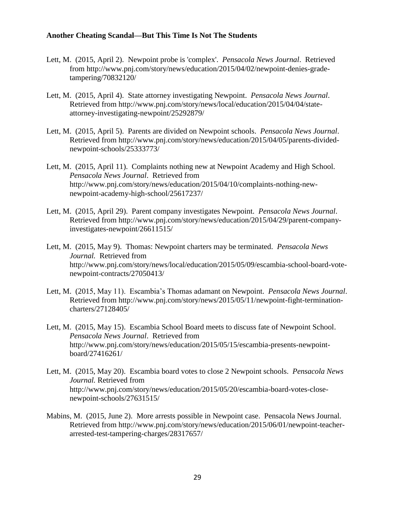- Lett, M. (2015, April 2). Newpoint probe is 'complex'. *Pensacola News Journal*. Retrieved from http://www.pnj.com/story/news/education/2015/04/02/newpoint-denies-gradetampering/70832120/
- Lett, M. (2015, April 4). State attorney investigating Newpoint. *Pensacola News Journal*. Retrieved from http://www.pnj.com/story/news/local/education/2015/04/04/stateattorney-investigating-newpoint/25292879/
- Lett, M. (2015, April 5). Parents are divided on Newpoint schools. *Pensacola News Journal*. Retrieved from http://www.pnj.com/story/news/education/2015/04/05/parents-dividednewpoint-schools/25333773/
- Lett, M. (2015, April 11). Complaints nothing new at Newpoint Academy and High School. *Pensacola News Journal*. Retrieved from http://www.pnj.com/story/news/education/2015/04/10/complaints-nothing-newnewpoint-academy-high-school/25617237/
- Lett, M. (2015, April 29). Parent company investigates Newpoint. *Pensacola News Journal*. Retrieved from http://www.pnj.com/story/news/education/2015/04/29/parent-companyinvestigates-newpoint/26611515/
- Lett, M. (2015, May 9). Thomas: Newpoint charters may be terminated. *Pensacola News Journal.* Retrieved from http://www.pnj.com/story/news/local/education/2015/05/09/escambia-school-board-votenewpoint-contracts/27050413/
- Lett, M. (2015, May 11). Escambia's Thomas adamant on Newpoint. *Pensacola News Journal*. Retrieved from http://www.pnj.com/story/news/2015/05/11/newpoint-fight-terminationcharters/27128405/
- Lett, M. (2015, May 15). Escambia School Board meets to discuss fate of Newpoint School. *Pensacola News Journal*. Retrieved from http://www.pnj.com/story/news/education/2015/05/15/escambia-presents-newpointboard/27416261/
- Lett, M. (2015, May 20). Escambia board votes to close 2 Newpoint schools. *Pensacola News Journal.* Retrieved from http://www.pnj.com/story/news/education/2015/05/20/escambia-board-votes-closenewpoint-schools/27631515/
- Mabins, M. (2015, June 2). More arrests possible in Newpoint case. Pensacola News Journal. Retrieved from http://www.pnj.com/story/news/education/2015/06/01/newpoint-teacherarrested-test-tampering-charges/28317657/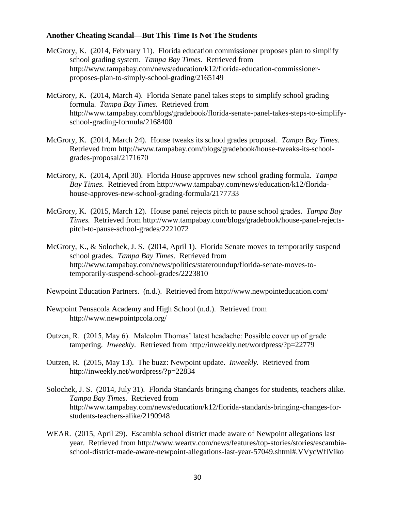- McGrory, K. (2014, February 11). Florida education commissioner proposes plan to simplify school grading system. *Tampa Bay Times.* Retrieved from http://www.tampabay.com/news/education/k12/florida-education-commissionerproposes-plan-to-simply-school-grading/2165149
- McGrory, K. (2014, March 4). Florida Senate panel takes steps to simplify school grading formula. *Tampa Bay Times.* Retrieved from http://www.tampabay.com/blogs/gradebook/florida-senate-panel-takes-steps-to-simplifyschool-grading-formula/2168400
- McGrory, K. (2014, March 24). House tweaks its school grades proposal. *Tampa Bay Times.*  Retrieved from http://www.tampabay.com/blogs/gradebook/house-tweaks-its-schoolgrades-proposal/2171670
- McGrory, K. (2014, April 30). Florida House approves new school grading formula. *Tampa Bay Times.* Retrieved from http://www.tampabay.com/news/education/k12/floridahouse-approves-new-school-grading-formula/2177733
- McGrory, K. (2015, March 12). House panel rejects pitch to pause school grades. *Tampa Bay Times.* Retrieved from http://www.tampabay.com/blogs/gradebook/house-panel-rejectspitch-to-pause-school-grades/2221072
- McGrory, K., & Solochek, J. S. (2014, April 1). Florida Senate moves to temporarily suspend school grades. *Tampa Bay Times.* Retrieved from http://www.tampabay.com/news/politics/stateroundup/florida-senate-moves-totemporarily-suspend-school-grades/2223810
- Newpoint Education Partners. (n.d.). Retrieved from http://www.newpointeducation.com/
- Newpoint Pensacola Academy and High School (n.d.). Retrieved from http://www.newpointpcola.org/
- Outzen, R. (2015, May 6). Malcolm Thomas' latest headache: Possible cover up of grade tampering. *Inweekly.* Retrieved from http://inweekly.net/wordpress/?p=22779
- Outzen, R. (2015, May 13). The buzz: Newpoint update. *Inweekly.* Retrieved from http://inweekly.net/wordpress/?p=22834
- Solochek, J. S. (2014, July 31). Florida Standards bringing changes for students, teachers alike. *Tampa Bay Times.* Retrieved from http://www.tampabay.com/news/education/k12/florida-standards-bringing-changes-forstudents-teachers-alike/2190948
- WEAR. (2015, April 29). Escambia school district made aware of Newpoint allegations last year. Retrieved from http://www.weartv.com/news/features/top-stories/stories/escambiaschool-district-made-aware-newpoint-allegations-last-year-57049.shtml#.VVycWflViko